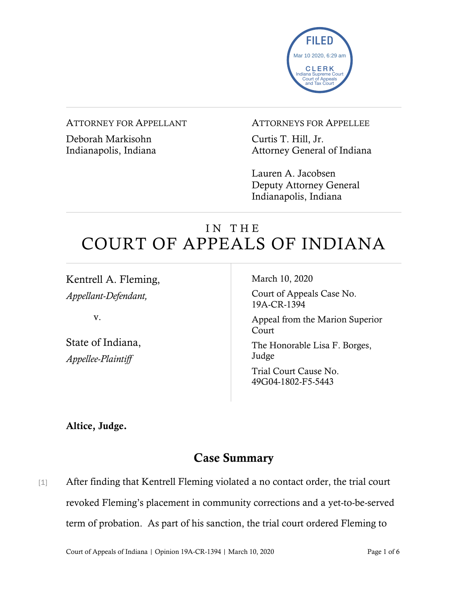

#### ATTORNEY FOR APPELLANT

Deborah Markisohn Indianapolis, Indiana ATTORNEYS FOR APPELLEE

Curtis T. Hill, Jr. Attorney General of Indiana

Lauren A. Jacobsen Deputy Attorney General Indianapolis, Indiana

# IN THE COURT OF APPEALS OF INDIANA

Kentrell A. Fleming, *Appellant-Defendant,*

v.

State of Indiana, *Appellee-Plaintiff*

March 10, 2020

Court of Appeals Case No. 19A-CR-1394

Appeal from the Marion Superior Court

The Honorable Lisa F. Borges, Judge

Trial Court Cause No. 49G04-1802-F5-5443

Altice, Judge.

## Case Summary

[1] After finding that Kentrell Fleming violated a no contact order, the trial court revoked Fleming's placement in community corrections and a yet-to-be-served term of probation. As part of his sanction, the trial court ordered Fleming to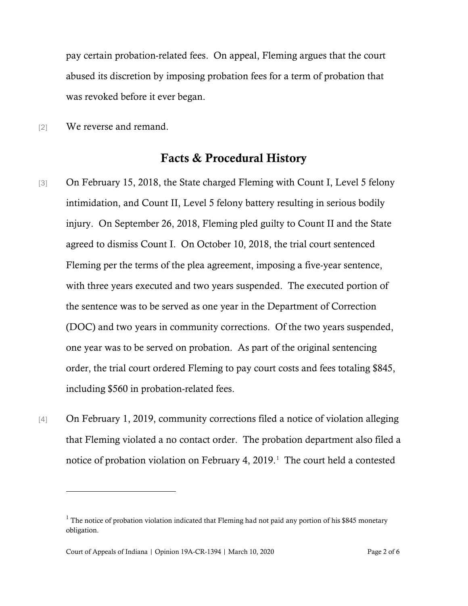pay certain probation-related fees. On appeal, Fleming argues that the court abused its discretion by imposing probation fees for a term of probation that was revoked before it ever began.

[2] We reverse and remand.

### Facts & Procedural History

- [3] On February 15, 2018, the State charged Fleming with Count I, Level 5 felony intimidation, and Count II, Level 5 felony battery resulting in serious bodily injury. On September 26, 2018, Fleming pled guilty to Count II and the State agreed to dismiss Count I. On October 10, 2018, the trial court sentenced Fleming per the terms of the plea agreement, imposing a five-year sentence, with three years executed and two years suspended. The executed portion of the sentence was to be served as one year in the Department of Correction (DOC) and two years in community corrections. Of the two years suspended, one year was to be served on probation. As part of the original sentencing order, the trial court ordered Fleming to pay court costs and fees totaling \$845, including \$560 in probation-related fees.
- [4] On February 1, 2019, community corrections filed a notice of violation alleging that Fleming violated a no contact order. The probation department also filed a notice of probation violation on February 4, 2019. [1](#page-1-0) The court held a contested

<span id="page-1-0"></span> $1$  The notice of probation violation indicated that Fleming had not paid any portion of his \$845 monetary obligation.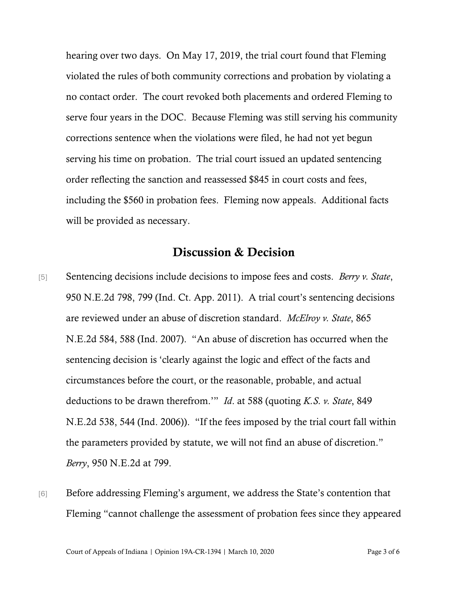hearing over two days. On May 17, 2019, the trial court found that Fleming violated the rules of both community corrections and probation by violating a no contact order. The court revoked both placements and ordered Fleming to serve four years in the DOC. Because Fleming was still serving his community corrections sentence when the violations were filed, he had not yet begun serving his time on probation. The trial court issued an updated sentencing order reflecting the sanction and reassessed \$845 in court costs and fees, including the \$560 in probation fees. Fleming now appeals. Additional facts will be provided as necessary.

## Discussion & Decision

- [5] Sentencing decisions include decisions to impose fees and costs. *Berry v. State*, 950 N.E.2d 798, 799 (Ind. Ct. App. 2011). A trial court's sentencing decisions are reviewed under an abuse of discretion standard. *McElroy v. State*, 865 N.E.2d 584, 588 (Ind. 2007). "An abuse of discretion has occurred when the sentencing decision is 'clearly against the logic and effect of the facts and circumstances before the court, or the reasonable, probable, and actual deductions to be drawn therefrom.'" *Id*. at 588 (quoting *K.S. v. State*, 849 N.E.2d 538, 544 (Ind. 2006)). "If the fees imposed by the trial court fall within the parameters provided by statute, we will not find an abuse of discretion." *Berry*, 950 N.E.2d at 799.
- [6] Before addressing Fleming's argument, we address the State's contention that Fleming "cannot challenge the assessment of probation fees since they appeared

Court of Appeals of Indiana | Opinion 19A-CR-1394 | March 10, 2020 Page 3 of 6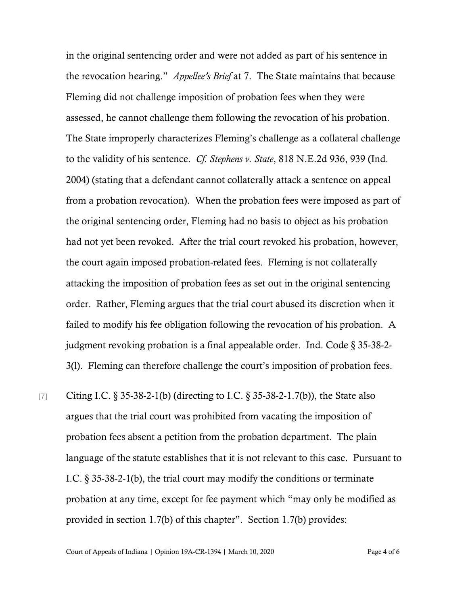in the original sentencing order and were not added as part of his sentence in the revocation hearing." *Appellee's Brief* at 7. The State maintains that because Fleming did not challenge imposition of probation fees when they were assessed, he cannot challenge them following the revocation of his probation. The State improperly characterizes Fleming's challenge as a collateral challenge to the validity of his sentence. *Cf. Stephens v. State*, 818 N.E.2d 936, 939 (Ind. 2004) (stating that a defendant cannot collaterally attack a sentence on appeal from a probation revocation). When the probation fees were imposed as part of the original sentencing order, Fleming had no basis to object as his probation had not yet been revoked. After the trial court revoked his probation, however, the court again imposed probation-related fees. Fleming is not collaterally attacking the imposition of probation fees as set out in the original sentencing order. Rather, Fleming argues that the trial court abused its discretion when it failed to modify his fee obligation following the revocation of his probation. A judgment revoking probation is a final appealable order. Ind. Code § 35-38-2- 3(l). Fleming can therefore challenge the court's imposition of probation fees.

[7] Citing I.C. § 35-38-2-1(b) (directing to I.C. § 35-38-2-1.7(b)), the State also argues that the trial court was prohibited from vacating the imposition of probation fees absent a petition from the probation department. The plain language of the statute establishes that it is not relevant to this case. Pursuant to I.C. § 35-38-2-1(b), the trial court may modify the conditions or terminate probation at any time, except for fee payment which "may only be modified as provided in section 1.7(b) of this chapter". Section 1.7(b) provides: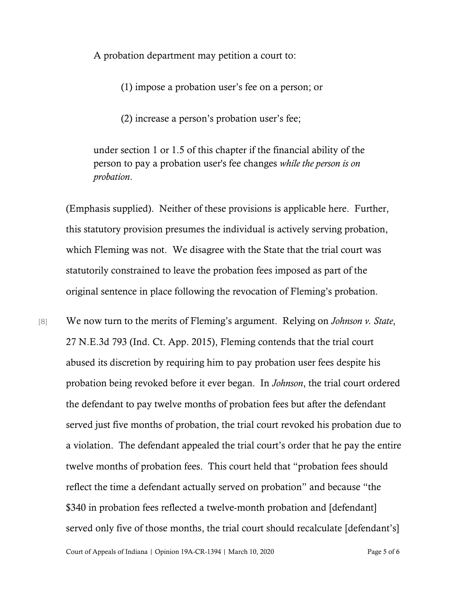A probation department may petition a court to:

(1) impose a probation user's fee on a person; or

(2) increase a person's probation user's fee;

under section 1 or 1.5 of this chapter if the financial ability of the person to pay a probation user's fee changes *while the person is on probation*.

(Emphasis supplied). Neither of these provisions is applicable here. Further, this statutory provision presumes the individual is actively serving probation, which Fleming was not. We disagree with the State that the trial court was statutorily constrained to leave the probation fees imposed as part of the original sentence in place following the revocation of Fleming's probation.

[8] We now turn to the merits of Fleming's argument. Relying on *Johnson v. State*, 27 N.E.3d 793 (Ind. Ct. App. 2015), Fleming contends that the trial court abused its discretion by requiring him to pay probation user fees despite his probation being revoked before it ever began. In *Johnson*, the trial court ordered the defendant to pay twelve months of probation fees but after the defendant served just five months of probation, the trial court revoked his probation due to a violation. The defendant appealed the trial court's order that he pay the entire twelve months of probation fees. This court held that "probation fees should reflect the time a defendant actually served on probation" and because "the \$340 in probation fees reflected a twelve-month probation and [defendant] served only five of those months, the trial court should recalculate [defendant's]

Court of Appeals of Indiana | Opinion 19A-CR-1394 | March 10, 2020 Page 5 of 6